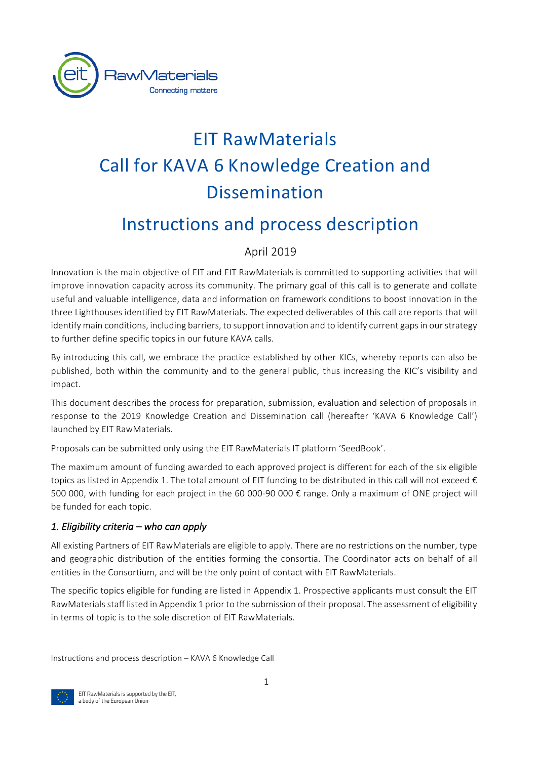

# EIT RawMaterials Call for KAVA 6 Knowledge Creation and Dissemination

# Instructions and process description

## April 2019

Innovation is the main objective of EIT and EIT RawMaterials is committed to supporting activities that will improve innovation capacity across its community. The primary goal of this call is to generate and collate useful and valuable intelligence, data and information on framework conditions to boost innovation in the three Lighthouses identified by EIT RawMaterials. The expected deliverables of this call are reports that will identify main conditions, including barriers, to support innovation and to identify current gaps in our strategy to further define specific topics in our future KAVA calls.

By introducing this call, we embrace the practice established by other KICs, whereby reports can also be published, both within the community and to the general public, thus increasing the KIC's visibility and impact.

This document describes the process for preparation, submission, evaluation and selection of proposals in response to the 2019 Knowledge Creation and Dissemination call (hereafter 'KAVA 6 Knowledge Call') launched by EIT RawMaterials.

Proposals can be submitted only using the EIT RawMaterials IT platform 'SeedBook'.

The maximum amount of funding awarded to each approved project is different for each of the six eligible topics as listed in Appendix 1. The total amount of EIT funding to be distributed in this call will not exceed  $\epsilon$ 500 000, with funding for each project in the 60 000-90 000 € range. Only a maximum of ONE project will be funded for each topic.

#### 1. Eligibility criteria – who can apply

All existing Partners of EIT RawMaterials are eligible to apply. There are no restrictions on the number, type and geographic distribution of the entities forming the consortia. The Coordinator acts on behalf of all entities in the Consortium, and will be the only point of contact with EIT RawMaterials.

The specific topics eligible for funding are listed in Appendix 1. Prospective applicants must consult the EIT RawMaterials staff listed in Appendix 1 prior to the submission of their proposal. The assessment of eligibility in terms of topic is to the sole discretion of EIT RawMaterials.

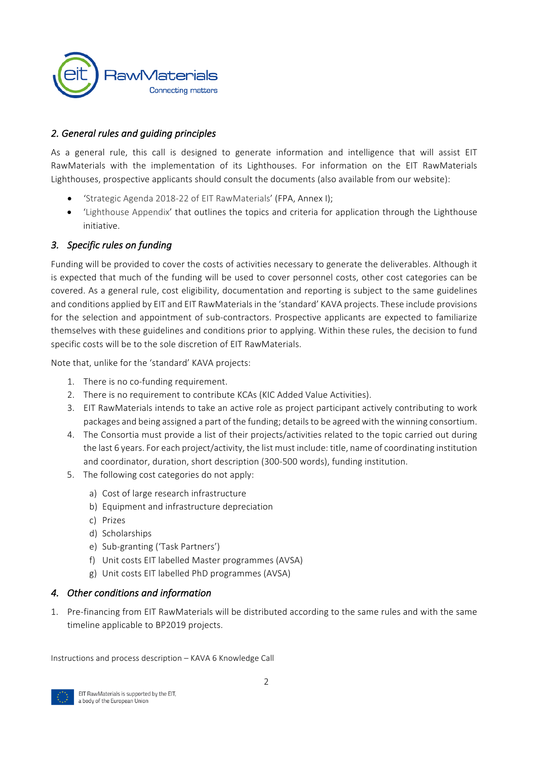

#### 2. General rules and quiding principles

As a general rule, this call is designed to generate information and intelligence that will assist EIT RawMaterials with the implementation of its Lighthouses. For information on the EIT RawMaterials Lighthouses, prospective applicants should consult the documents (also available from our website):

- 'Strategic Agenda 2018-22 of EIT RawMaterials' (FPA, Annex I);
- 'Lighthouse Appendix' that outlines the topics and criteria for application through the Lighthouse initiative.

#### 3. Specific rules on funding

Funding will be provided to cover the costs of activities necessary to generate the deliverables. Although it is expected that much of the funding will be used to cover personnel costs, other cost categories can be covered. As a general rule, cost eligibility, documentation and reporting is subject to the same guidelines and conditions applied by EIT and EIT RawMaterials in the 'standard' KAVA projects. These include provisions for the selection and appointment of sub-contractors. Prospective applicants are expected to familiarize themselves with these guidelines and conditions prior to applying. Within these rules, the decision to fund specific costs will be to the sole discretion of EIT RawMaterials.

Note that, unlike for the 'standard' KAVA projects:

- 1. There is no co-funding requirement.
- 2. There is no requirement to contribute KCAs (KIC Added Value Activities).
- 3. EIT RawMaterials intends to take an active role as project participant actively contributing to work packages and being assigned a part of the funding; details to be agreed with the winning consortium.
- 4. The Consortia must provide a list of their projects/activities related to the topic carried out during the last 6 years. For each project/activity, the list must include: title, name of coordinating institution and coordinator, duration, short description (300-500 words), funding institution.
- 5. The following cost categories do not apply:
	- a) Cost of large research infrastructure
	- b) Equipment and infrastructure depreciation
	- c) Prizes
	- d) Scholarships
	- e) Sub-granting ('Task Partners')
	- f) Unit costs EIT labelled Master programmes (AVSA)
	- g) Unit costs EIT labelled PhD programmes (AVSA)

#### **4.** Other conditions and information

1. Pre-financing from EIT RawMaterials will be distributed according to the same rules and with the same timeline applicable to BP2019 projects.

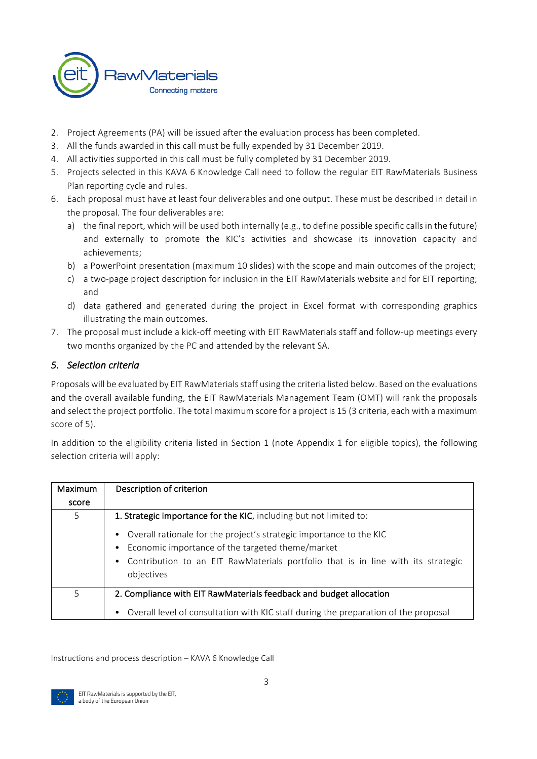

- 2. Project Agreements (PA) will be issued after the evaluation process has been completed.
- 3. All the funds awarded in this call must be fully expended by 31 December 2019.
- 4. All activities supported in this call must be fully completed by 31 December 2019.
- 5. Projects selected in this KAVA 6 Knowledge Call need to follow the regular EIT RawMaterials Business Plan reporting cycle and rules.
- 6. Each proposal must have at least four deliverables and one output. These must be described in detail in the proposal. The four deliverables are:
	- a) the final report, which will be used both internally (e.g., to define possible specific calls in the future) and externally to promote the KIC's activities and showcase its innovation capacity and achievements;
	- b) a PowerPoint presentation (maximum 10 slides) with the scope and main outcomes of the project;
	- c) a two-page project description for inclusion in the EIT RawMaterials website and for EIT reporting; and
	- d) data gathered and generated during the project in Excel format with corresponding graphics illustrating the main outcomes.
- 7. The proposal must include a kick-off meeting with EIT RawMaterials staff and follow-up meetings every two months organized by the PC and attended by the relevant SA.

#### *5. Selection criteria*

Proposals will be evaluated by EIT RawMaterials staff using the criteria listed below. Based on the evaluations and the overall available funding, the EIT RawMaterials Management Team (OMT) will rank the proposals and select the project portfolio. The total maximum score for a project is 15 (3 criteria, each with a maximum score of 5).

In addition to the eligibility criteria listed in Section 1 (note Appendix 1 for eligible topics), the following selection criteria will apply:

| Maximum | Description of criterion                                                            |
|---------|-------------------------------------------------------------------------------------|
| score   |                                                                                     |
| 5       | 1. Strategic importance for the KIC, including but not limited to:                  |
|         | • Overall rationale for the project's strategic importance to the KIC               |
|         | Economic importance of the targeted theme/market                                    |
|         | • Contribution to an EIT RawMaterials portfolio that is in line with its strategic  |
|         | objectives                                                                          |
| 5       | 2. Compliance with EIT RawMaterials feedback and budget allocation                  |
|         | Overall level of consultation with KIC staff during the preparation of the proposal |

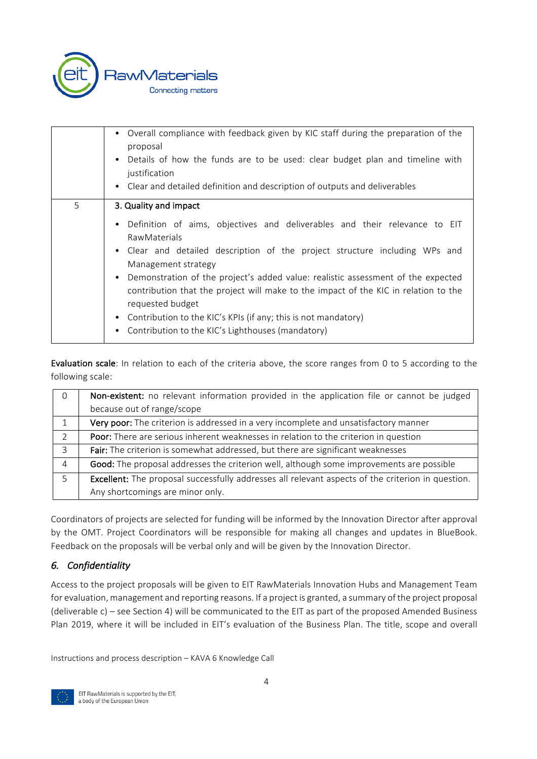

|   | • Overall compliance with feedback given by KIC staff during the preparation of the<br>proposal<br>Details of how the funds are to be used: clear budget plan and timeline with<br>$\bullet$<br>justification<br>• Clear and detailed definition and description of outputs and deliverables                                                                                                                                                                                                                                                    |
|---|-------------------------------------------------------------------------------------------------------------------------------------------------------------------------------------------------------------------------------------------------------------------------------------------------------------------------------------------------------------------------------------------------------------------------------------------------------------------------------------------------------------------------------------------------|
| 5 | 3. Quality and impact                                                                                                                                                                                                                                                                                                                                                                                                                                                                                                                           |
|   | Definition of aims, objectives and deliverables and their relevance to EIT<br>$\bullet$<br><b>RawMaterials</b><br>• Clear and detailed description of the project structure including WPs and<br>Management strategy<br>Demonstration of the project's added value: realistic assessment of the expected<br>٠<br>contribution that the project will make to the impact of the KIC in relation to the<br>requested budget<br>Contribution to the KIC's KPIs (if any; this is not mandatory)<br>Contribution to the KIC's Lighthouses (mandatory) |

Evaluation scale: In relation to each of the criteria above, the score ranges from 0 to 5 according to the following scale:

| $\Omega$ | Non-existent: no relevant information provided in the application file or cannot be judged        |
|----------|---------------------------------------------------------------------------------------------------|
|          | because out of range/scope                                                                        |
|          | Very poor: The criterion is addressed in a very incomplete and unsatisfactory manner              |
| 2        | <b>Poor:</b> There are serious inherent weaknesses in relation to the criterion in question       |
| 3        | Fair: The criterion is somewhat addressed, but there are significant weaknesses                   |
| 4        | Good: The proposal addresses the criterion well, although some improvements are possible          |
| 5        | Excellent: The proposal successfully addresses all relevant aspects of the criterion in question. |
|          | Any shortcomings are minor only.                                                                  |

Coordinators of projects are selected for funding will be informed by the Innovation Director after approval by the OMT. Project Coordinators will be responsible for making all changes and updates in BlueBook. Feedback on the proposals will be verbal only and will be given by the Innovation Director.

### *6. Confidentiality*

Access to the project proposals will be given to EIT RawMaterials Innovation Hubs and Management Team for evaluation, management and reporting reasons. If a project is granted, a summary of the project proposal (deliverable c) – see Section 4) will be communicated to the EIT as part of the proposed Amended Business Plan 2019, where it will be included in EIT's evaluation of the Business Plan. The title, scope and overall